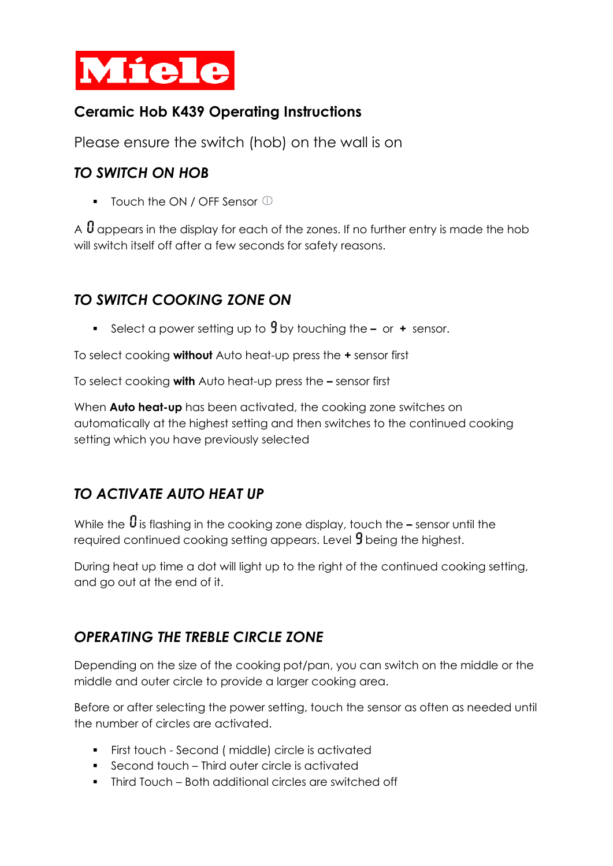

## **Ceramic Hob K439 Operating Instructions**

Please ensure the switch (hob) on the wall is on

#### *TO SWITCH ON HOB*

**•** Touch the ON / OFF Sensor  $\mathbb{O}$ 

A  $\bm{\theta}$  appears in the display for each of the zones. If no further entry is made the hob will switch itself off after a few seconds for safety reasons.

## *TO SWITCH COOKING ZONE ON*

■ Select a power setting up to **9** by touching the – or + sensor.

To select cooking **without** Auto heat-up press the **+** sensor first

To select cooking **with** Auto heat-up press the **–** sensor first

When **Auto heat-up** has been activated, the cooking zone switches on automatically at the highest setting and then switches to the continued cooking setting which you have previously selected

# *TO ACTIVATE AUTO HEAT UP*

While the  $\theta$  is flashing in the cooking zone display, touch the **–** sensor until the required continued cooking setting appears. Level  $\beta$  being the highest.

During heat up time a dot will light up to the right of the continued cooking setting, and go out at the end of it.

# *OPERATING THE TREBLE CIRCLE ZONE*

Depending on the size of the cooking pot/pan, you can switch on the middle or the middle and outer circle to provide a larger cooking area.

Before or after selecting the power setting, touch the sensor as often as needed until the number of circles are activated.

- First touch Second ( middle) circle is activated
- Second touch Third outer circle is activated
- Third Touch Both additional circles are switched off